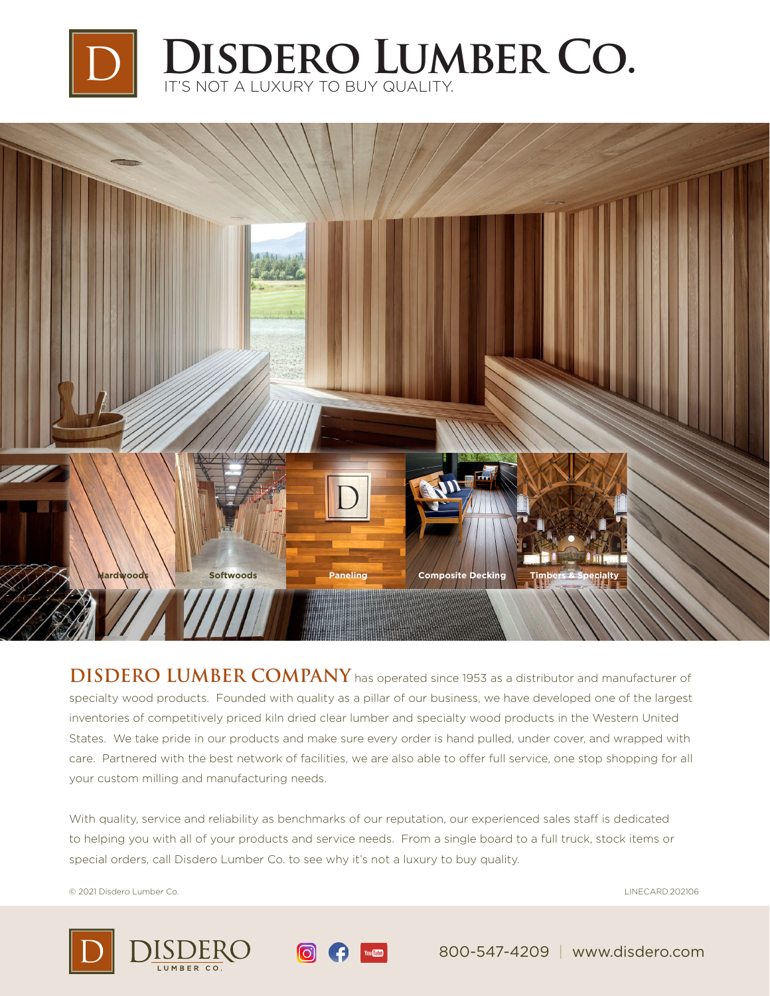



**DISDERO LUMBER COMPANY** has operated since 1953 as a distributor and manufacturer of specialty wood products. Founded with quality as a pillar of our business, we have developed one of the largest inventories of competitively priced kiln dried clear lumber and specialty wood products in the Western United States. We take pride in our products and make sure every order is hand pulled, under cover, and wrapped with care. Partnered with the best network of facilities, we are also able to offer full service, one stop shopping for all your custom milling and manufacturing needs.

With quality, service and reliability as benchmarks of our reputation, our experienced sales staff is dedicated to helping you with all of your products and service needs. From a single board to a full truck, stock items or special orders, call Disdero Lumber Co. to see why it's not a luxury to buy quality.

© 2021 Disdero Lumber Co. LINECARD.202106







800-547-4209 | www.disdero.com